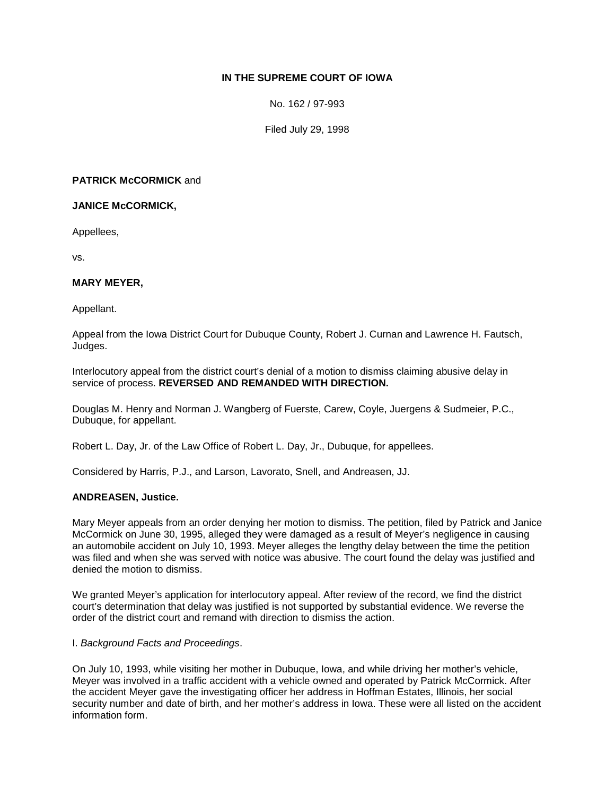# **IN THE SUPREME COURT OF IOWA**

No. 162 / 97-993

Filed July 29, 1998

# **PATRICK McCORMICK** and

**JANICE McCORMICK,**

Appellees,

vs.

### **MARY MEYER,**

Appellant.

Appeal from the Iowa District Court for Dubuque County, Robert J. Curnan and Lawrence H. Fautsch, Judges.

Interlocutory appeal from the district court's denial of a motion to dismiss claiming abusive delay in service of process. **REVERSED AND REMANDED WITH DIRECTION.**

Douglas M. Henry and Norman J. Wangberg of Fuerste, Carew, Coyle, Juergens & Sudmeier, P.C., Dubuque, for appellant.

Robert L. Day, Jr. of the Law Office of Robert L. Day, Jr., Dubuque, for appellees.

Considered by Harris, P.J., and Larson, Lavorato, Snell, and Andreasen, JJ.

### **ANDREASEN, Justice.**

Mary Meyer appeals from an order denying her motion to dismiss. The petition, filed by Patrick and Janice McCormick on June 30, 1995, alleged they were damaged as a result of Meyer's negligence in causing an automobile accident on July 10, 1993. Meyer alleges the lengthy delay between the time the petition was filed and when she was served with notice was abusive. The court found the delay was justified and denied the motion to dismiss.

We granted Meyer's application for interlocutory appeal. After review of the record, we find the district court's determination that delay was justified is not supported by substantial evidence. We reverse the order of the district court and remand with direction to dismiss the action.

### I. *Background Facts and Proceedings*.

On July 10, 1993, while visiting her mother in Dubuque, Iowa, and while driving her mother's vehicle, Meyer was involved in a traffic accident with a vehicle owned and operated by Patrick McCormick. After the accident Meyer gave the investigating officer her address in Hoffman Estates, Illinois, her social security number and date of birth, and her mother's address in Iowa. These were all listed on the accident information form.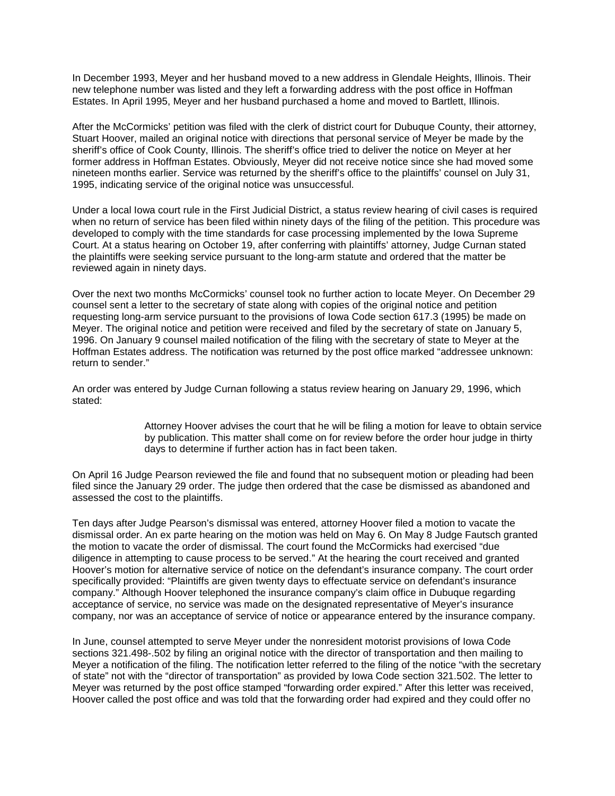In December 1993, Meyer and her husband moved to a new address in Glendale Heights, Illinois. Their new telephone number was listed and they left a forwarding address with the post office in Hoffman Estates. In April 1995, Meyer and her husband purchased a home and moved to Bartlett, Illinois.

After the McCormicks' petition was filed with the clerk of district court for Dubuque County, their attorney, Stuart Hoover, mailed an original notice with directions that personal service of Meyer be made by the sheriff's office of Cook County, Illinois. The sheriff's office tried to deliver the notice on Meyer at her former address in Hoffman Estates. Obviously, Meyer did not receive notice since she had moved some nineteen months earlier. Service was returned by the sheriff's office to the plaintiffs' counsel on July 31, 1995, indicating service of the original notice was unsuccessful.

Under a local Iowa court rule in the First Judicial District, a status review hearing of civil cases is required when no return of service has been filed within ninety days of the filing of the petition. This procedure was developed to comply with the time standards for case processing implemented by the Iowa Supreme Court. At a status hearing on October 19, after conferring with plaintiffs' attorney, Judge Curnan stated the plaintiffs were seeking service pursuant to the long-arm statute and ordered that the matter be reviewed again in ninety days.

Over the next two months McCormicks' counsel took no further action to locate Meyer. On December 29 counsel sent a letter to the secretary of state along with copies of the original notice and petition requesting long-arm service pursuant to the provisions of Iowa Code section 617.3 (1995) be made on Meyer. The original notice and petition were received and filed by the secretary of state on January 5, 1996. On January 9 counsel mailed notification of the filing with the secretary of state to Meyer at the Hoffman Estates address. The notification was returned by the post office marked "addressee unknown: return to sender."

An order was entered by Judge Curnan following a status review hearing on January 29, 1996, which stated:

> Attorney Hoover advises the court that he will be filing a motion for leave to obtain service by publication. This matter shall come on for review before the order hour judge in thirty days to determine if further action has in fact been taken.

On April 16 Judge Pearson reviewed the file and found that no subsequent motion or pleading had been filed since the January 29 order. The judge then ordered that the case be dismissed as abandoned and assessed the cost to the plaintiffs.

Ten days after Judge Pearson's dismissal was entered, attorney Hoover filed a motion to vacate the dismissal order. An ex parte hearing on the motion was held on May 6. On May 8 Judge Fautsch granted the motion to vacate the order of dismissal. The court found the McCormicks had exercised "due diligence in attempting to cause process to be served." At the hearing the court received and granted Hoover's motion for alternative service of notice on the defendant's insurance company. The court order specifically provided: "Plaintiffs are given twenty days to effectuate service on defendant's insurance company." Although Hoover telephoned the insurance company's claim office in Dubuque regarding acceptance of service, no service was made on the designated representative of Meyer's insurance company, nor was an acceptance of service of notice or appearance entered by the insurance company.

In June, counsel attempted to serve Meyer under the nonresident motorist provisions of Iowa Code sections 321.498-.502 by filing an original notice with the director of transportation and then mailing to Meyer a notification of the filing. The notification letter referred to the filing of the notice "with the secretary of state" not with the "director of transportation" as provided by Iowa Code section 321.502. The letter to Meyer was returned by the post office stamped "forwarding order expired." After this letter was received, Hoover called the post office and was told that the forwarding order had expired and they could offer no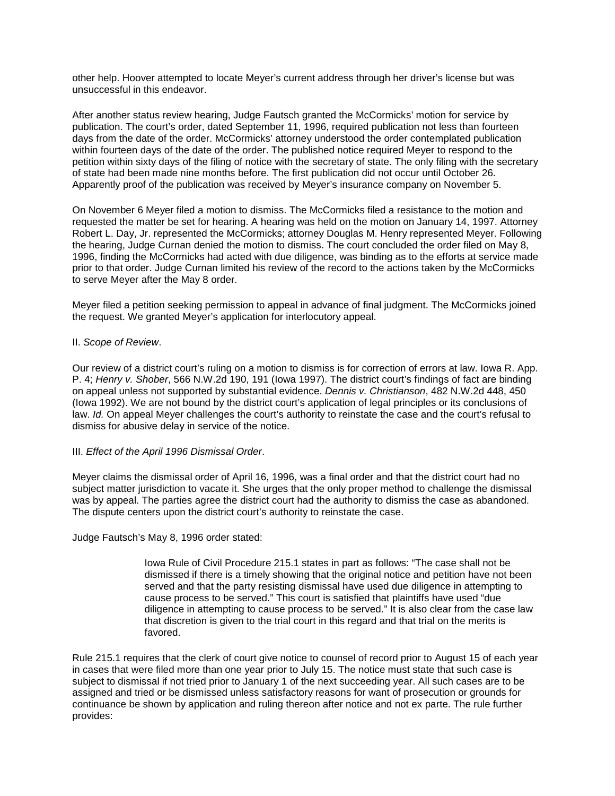other help. Hoover attempted to locate Meyer's current address through her driver's license but was unsuccessful in this endeavor.

After another status review hearing, Judge Fautsch granted the McCormicks' motion for service by publication. The court's order, dated September 11, 1996, required publication not less than fourteen days from the date of the order. McCormicks' attorney understood the order contemplated publication within fourteen days of the date of the order. The published notice required Meyer to respond to the petition within sixty days of the filing of notice with the secretary of state. The only filing with the secretary of state had been made nine months before. The first publication did not occur until October 26. Apparently proof of the publication was received by Meyer's insurance company on November 5.

On November 6 Meyer filed a motion to dismiss. The McCormicks filed a resistance to the motion and requested the matter be set for hearing. A hearing was held on the motion on January 14, 1997. Attorney Robert L. Day, Jr. represented the McCormicks; attorney Douglas M. Henry represented Meyer. Following the hearing, Judge Curnan denied the motion to dismiss. The court concluded the order filed on May 8, 1996, finding the McCormicks had acted with due diligence, was binding as to the efforts at service made prior to that order. Judge Curnan limited his review of the record to the actions taken by the McCormicks to serve Meyer after the May 8 order.

Meyer filed a petition seeking permission to appeal in advance of final judgment. The McCormicks joined the request. We granted Meyer's application for interlocutory appeal.

II. *Scope of Review*.

Our review of a district court's ruling on a motion to dismiss is for correction of errors at law. Iowa R. App. P. 4; *Henry v. Shober*, 566 N.W.2d 190, 191 (Iowa 1997). The district court's findings of fact are binding on appeal unless not supported by substantial evidence. *Dennis v. Christianson*, 482 N.W.2d 448, 450 (Iowa 1992). We are not bound by the district court's application of legal principles or its conclusions of law. *Id.* On appeal Meyer challenges the court's authority to reinstate the case and the court's refusal to dismiss for abusive delay in service of the notice.

### III. *Effect of the April 1996 Dismissal Order*.

Meyer claims the dismissal order of April 16, 1996, was a final order and that the district court had no subject matter jurisdiction to vacate it. She urges that the only proper method to challenge the dismissal was by appeal. The parties agree the district court had the authority to dismiss the case as abandoned. The dispute centers upon the district court's authority to reinstate the case.

Judge Fautsch's May 8, 1996 order stated:

Iowa Rule of Civil Procedure 215.1 states in part as follows: "The case shall not be dismissed if there is a timely showing that the original notice and petition have not been served and that the party resisting dismissal have used due diligence in attempting to cause process to be served." This court is satisfied that plaintiffs have used "due diligence in attempting to cause process to be served." It is also clear from the case law that discretion is given to the trial court in this regard and that trial on the merits is favored.

Rule 215.1 requires that the clerk of court give notice to counsel of record prior to August 15 of each year in cases that were filed more than one year prior to July 15. The notice must state that such case is subject to dismissal if not tried prior to January 1 of the next succeeding year. All such cases are to be assigned and tried or be dismissed unless satisfactory reasons for want of prosecution or grounds for continuance be shown by application and ruling thereon after notice and not ex parte. The rule further provides: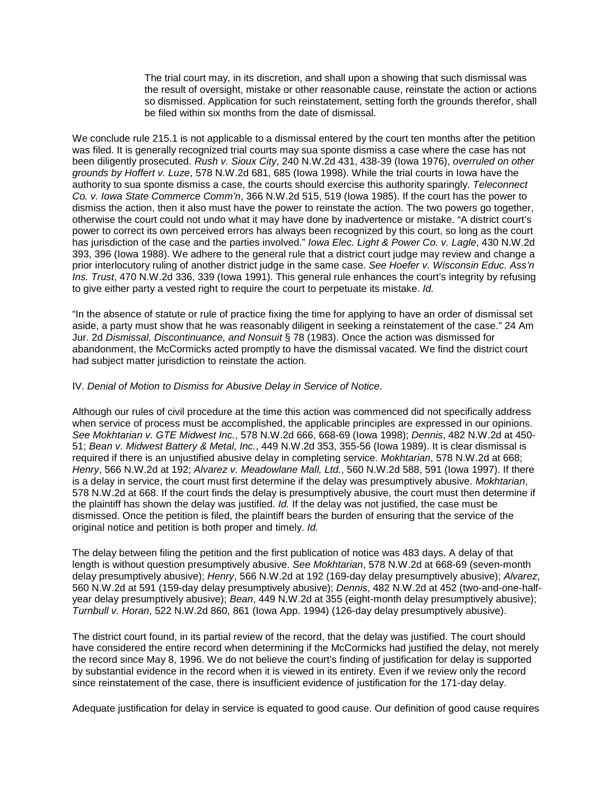The trial court may, in its discretion, and shall upon a showing that such dismissal was the result of oversight, mistake or other reasonable cause, reinstate the action or actions so dismissed. Application for such reinstatement, setting forth the grounds therefor, shall be filed within six months from the date of dismissal.

We conclude rule 215.1 is not applicable to a dismissal entered by the court ten months after the petition was filed. It is generally recognized trial courts may sua sponte dismiss a case where the case has not been diligently prosecuted. *Rush v. Sioux City*, 240 N.W.2d 431, 438-39 (Iowa 1976), *overruled on other grounds by Hoffert v. Luze*, 578 N.W.2d 681, 685 (Iowa 1998). While the trial courts in Iowa have the authority to sua sponte dismiss a case, the courts should exercise this authority sparingly. *Teleconnect Co. v. Iowa State Commerce Comm'n*, 366 N.W.2d 515, 519 (Iowa 1985). If the court has the power to dismiss the action, then it also must have the power to reinstate the action. The two powers go together, otherwise the court could not undo what it may have done by inadvertence or mistake. "A district court's power to correct its own perceived errors has always been recognized by this court, so long as the court has jurisdiction of the case and the parties involved." *Iowa Elec. Light & Power Co. v. Lagle*, 430 N.W.2d 393, 396 (Iowa 1988). We adhere to the general rule that a district court judge may review and change a prior interlocutory ruling of another district judge in the same case. *See Hoefer v. Wisconsin Educ. Ass'n Ins. Trust*, 470 N.W.2d 336, 339 (Iowa 1991). This general rule enhances the court's integrity by refusing to give either party a vested right to require the court to perpetuate its mistake. *Id.*

"In the absence of statute or rule of practice fixing the time for applying to have an order of dismissal set aside, a party must show that he was reasonably diligent in seeking a reinstatement of the case." 24 Am Jur. 2d *Dismissal, Discontinuance, and Nonsuit* § 78 (1983). Once the action was dismissed for abandonment, the McCormicks acted promptly to have the dismissal vacated. We find the district court had subject matter jurisdiction to reinstate the action.

#### IV. *Denial of Motion to Dismiss for Abusive Delay in Service of Notice*.

Although our rules of civil procedure at the time this action was commenced did not specifically address when service of process must be accomplished, the applicable principles are expressed in our opinions. *See Mokhtarian v. GTE Midwest Inc.*, 578 N.W.2d 666, 668-69 (Iowa 1998); *Dennis*, 482 N.W.2d at 450- 51; *Bean v. Midwest Battery & Metal, Inc.*, 449 N.W.2d 353, 355-56 (Iowa 1989). It is clear dismissal is required if there is an unjustified abusive delay in completing service. *Mokhtarian*, 578 N.W.2d at 668; *Henry*, 566 N.W.2d at 192; *Alvarez v. Meadowlane Mall, Ltd.*, 560 N.W.2d 588, 591 (Iowa 1997). If there is a delay in service, the court must first determine if the delay was presumptively abusive. *Mokhtarian*, 578 N.W.2d at 668. If the court finds the delay is presumptively abusive, the court must then determine if the plaintiff has shown the delay was justified. *Id.* If the delay was not justified, the case must be dismissed. Once the petition is filed, the plaintiff bears the burden of ensuring that the service of the original notice and petition is both proper and timely. *Id.*

The delay between filing the petition and the first publication of notice was 483 days. A delay of that length is without question presumptively abusive. *See Mokhtarian*, 578 N.W.2d at 668-69 (seven-month delay presumptively abusive); *Henry*, 566 N.W.2d at 192 (169-day delay presumptively abusive); *Alvarez*, 560 N.W.2d at 591 (159-day delay presumptively abusive); *Dennis*, 482 N.W.2d at 452 (two-and-one-halfyear delay presumptively abusive); *Bean*, 449 N.W.2d at 355 (eight-month delay presumptively abusive); *Turnbull v. Horan*, 522 N.W.2d 860, 861 (Iowa App. 1994) (126-day delay presumptively abusive).

The district court found, in its partial review of the record, that the delay was justified. The court should have considered the entire record when determining if the McCormicks had justified the delay, not merely the record since May 8, 1996. We do not believe the court's finding of justification for delay is supported by substantial evidence in the record when it is viewed in its entirety. Even if we review only the record since reinstatement of the case, there is insufficient evidence of justification for the 171-day delay.

Adequate justification for delay in service is equated to good cause. Our definition of good cause requires